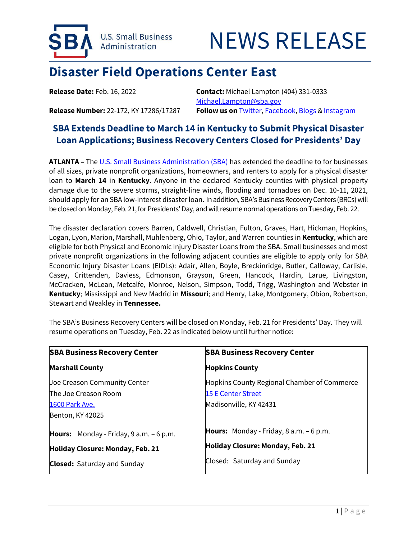



## **Disaster Field Operations Center East**

**Release Date:** Feb. 16, 2022 **Contact:** Michael Lampton (404) 331-0333 [Michael.Lampton@sba.gov](mailto:Michael.Lampton@sba.gov) **Release Number:** 22-172, KY 17286/17287 **Follow us on** [Twitter,](http://www.twitter.com/SBAgov) [Facebook,](http://www.facebook.com/sbagov) [Blogs](http://www.sba.gov/blogs) [& Instagram](https://www.instagram.com/sbagov/)

## **SBA Extends Deadline to March 14 in Kentucky to Submit Physical Disaster Loan Applications; Business Recovery Centers Closed for Presidents' Day**

**ATLANTA –** The [U.S. Small Business Administration \(SBA\)](https://www.sba.gov/) has extended the deadline to for businesses of all sizes, private nonprofit organizations, homeowners, and renters to apply for a physical disaster loan to **March 14** in **Kentucky**. Anyone in the declared Kentucky counties with physical property damage due to the severe storms, straight-line winds, flooding and tornadoes on Dec. 10-11, 2021, should apply for an SBA low-interest disaster loan. In addition, SBA's Business Recovery Centers (BRCs) will be closed on Monday, Feb. 21, for Presidents' Day, and will resume normal operations on Tuesday, Feb. 22.

The disaster declaration covers Barren, Caldwell, Christian, Fulton, Graves, Hart, Hickman, Hopkins, Logan, Lyon, Marion, Marshall, Muhlenberg, Ohio, Taylor, and Warren counties in **Kentucky**, which are eligible for both Physical and Economic Injury Disaster Loans from the SBA. Small businesses and most private nonprofit organizations in the following adjacent counties are eligible to apply only for SBA Economic Injury Disaster Loans (EIDLs): Adair, Allen, Boyle, Breckinridge, Butler, Calloway, Carlisle, Casey, Crittenden, Daviess, Edmonson, Grayson, Green, Hancock, Hardin, Larue, Livingston, McCracken, McLean, Metcalfe, Monroe, Nelson, Simpson, Todd, Trigg, Washington and Webster in **Kentucky**; Mississippi and New Madrid in **Missouri**; and Henry, Lake, Montgomery, Obion, Robertson, Stewart and Weakley in **Tennessee.**

| <b>SBA Business Recovery Center</b>               | <b>SBA Business Recovery Center</b>               |
|---------------------------------------------------|---------------------------------------------------|
| <b>Marshall County</b>                            | <b>Hopkins County</b>                             |
| Joe Creason Community Center                      | Hopkins County Regional Chamber of Commerce       |
| The Joe Creason Room                              | <b>15 E Center Street</b>                         |
| 1600 Park Ave.                                    | Madisonville, KY 42431                            |
| Benton, KY 42025                                  |                                                   |
| <b>Hours:</b> Monday - Friday, $9$ a.m. $-6$ p.m. | <b>Hours:</b> Monday - Friday, $8$ a.m. $-6$ p.m. |
| Holiday Closure: Monday, Feb. 21                  | <b>Holiday Closure: Monday, Feb. 21</b>           |
| <b>Closed:</b> Saturday and Sunday                | Closed: Saturday and Sunday                       |

The SBA's Business Recovery Centers will be closed on Monday, Feb. 21 for Presidents' Day. They will resume operations on Tuesday, Feb. 22 as indicated below until further notice: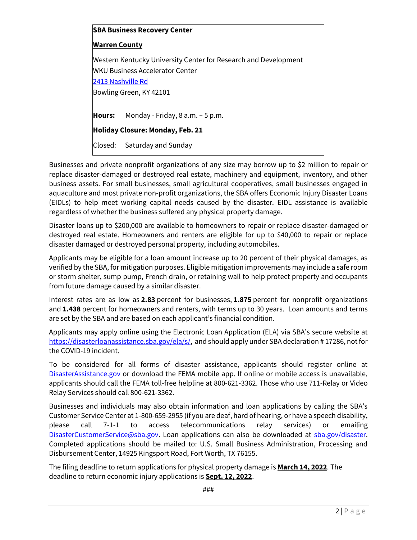| <b>SBA Business Recovery Center</b>                             |  |
|-----------------------------------------------------------------|--|
| <b>Warren County</b>                                            |  |
| Western Kentucky University Center for Research and Development |  |
| <b>WKU Business Accelerator Center</b>                          |  |
| 2413 Nashville Rd                                               |  |
| Bowling Green, KY 42101                                         |  |
|                                                                 |  |
| <b>Hours:</b> Monday - Friday, $8$ a.m. $-5$ p.m.               |  |
| <b>Holiday Closure: Monday, Feb. 21</b>                         |  |
| Closed: Saturday and Sunday                                     |  |

Businesses and private nonprofit organizations of any size may borrow up to \$2 million to repair or replace disaster-damaged or destroyed real estate, machinery and equipment, inventory, and other business assets. For small businesses, small agricultural cooperatives, small businesses engaged in aquaculture and most private non-profit organizations, the SBA offers Economic Injury Disaster Loans (EIDLs) to help meet working capital needs caused by the disaster. EIDL assistance is available regardless of whether the business suffered any physical property damage.

Disaster loans up to \$200,000 are available to homeowners to repair or replace disaster-damaged or destroyed real estate. Homeowners and renters are eligible for up to \$40,000 to repair or replace disaster damaged or destroyed personal property, including automobiles.

Applicants may be eligible for a loan amount increase up to 20 percent of their physical damages, as verified by the SBA, for mitigation purposes. Eligible mitigation improvements may include a safe room or storm shelter, sump pump, French drain, or retaining wall to help protect property and occupants from future damage caused by a similar disaster.

Interest rates are as low as **2.83** percent for businesses, **1.875** percent for nonprofit organizations and **1.438** percent for homeowners and renters, with terms up to 30 years. Loan amounts and terms are set by the SBA and are based on each applicant's financial condition.

Applicants may apply online using the Electronic Loan Application (ELA) via SBA's secure website at [https://disasterloanassistance.sba.gov/ela/s/,](https://disasterloanassistance.sba.gov/ela/s/) and should apply under SBA declaration # 17286, not for the COVID-19 incident.

To be considered for all forms of disaster assistance, applicants should register online at [DisasterAssistance.gov](https://www.disasterassistance.gov/) or download the FEMA mobile app. If online or mobile access is unavailable, applicants should call the FEMA toll-free helpline at 800-621-3362. Those who use 711-Relay or Video Relay Services should call 800-621-3362.

Businesses and individuals may also obtain information and loan applications by calling the SBA's Customer Service Center at 1-800-659-2955 (if you are deaf, hard of hearing, or have a speech disability, please call 7-1-1 to access telecommunications relay services) or emailing [DisasterCustomerService@sba.gov.](mailto:DisasterCustomerService@sba.gov) Loan applications can also be downloaded at [sba.gov/disaster.](https://disasterloanassistance.sba.gov/ela/s/article/Paper-Forms) Completed applications should be mailed to: U.S. Small Business Administration, Processing and Disbursement Center, 14925 Kingsport Road, Fort Worth, TX 76155.

The filing deadline to return applications for physical property damage is **March 14, 2022**. The deadline to return economic injury applications is **Sept. 12, 2022**.